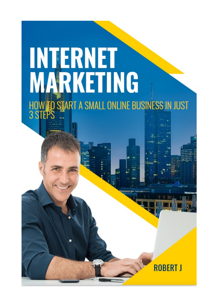# **INTERNET<br>MARKETING** HOW TO START A SMALL ONLINE BUSINESS IN JUST<br>3 STEPS

**ROBERT J**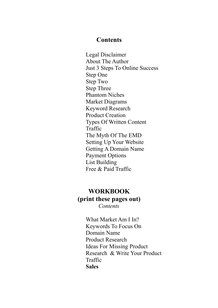#### **Contents**

Legal Disclaimer About The Author Just 3 Steps To Online Success Step One Step Two Step Three Phantom Niches Market Diagrams Keyword Research Product Creation Types Of Written Content Traffic The Myth Of The EMD Setting Up Your Website Getting A Domain Name Payment Options List Building Free & Paid Traffic

#### **WORKBOOK (print these pages out)** *Contents*

What Market Am I In? Keywords To Focus On Domain Name Product Research Ideas For Missing Product Research & Write Your Product Traffic **Sales**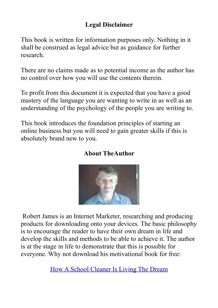#### **Legal Disclaimer**

This book is written for information purposes only. Nothing in it shall be construed as legal advice but as guidance for further research.

There are no claims made as to potential income as the author has no control over how you will use the contents therein.

To profit from this document it is expected that you have a good mastery of the language you are wanting to write in as well as an understanding of the psychology of the people you are writing to.

This book introduces the foundation principles of starting an online business but you will need to gain greater skills if this is absolutely brand new to you.



#### **About TheAuthor**

Robert James is an Internet Marketer, researching and producing products for downloading onto your devices. The basic philosophy is to encourage the reader to have their own dream in life and develop the skills and methods to be able to achieve it. The author is at the stage in life to demonstrate that this is possible for everyone. Why not download his motivational book for free:

[How A School Cleaner Is Living The Dream](https://addingtowealth.com/how-a-school-cleaner-can-live-the-dream/)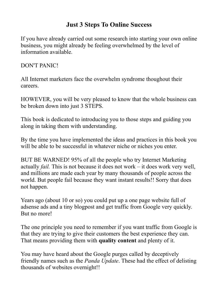#### **Just 3 Steps To Online Success**

If you have already carried out some research into starting your own online business, you might already be feeling overwhelmed by the level of information available.

DON'T PANIC!

All Internet marketers face the overwhelm syndrome thoughout their careers.

HOWEVER, you will be very pleased to know that the whole business can be broken down into just 3 STEPS.

This book is dedicated to introducing you to those steps and guiding you along in taking them with understanding.

By the time you have implemented the ideas and practices in this book you will be able to be successful in whatever niche or niches you enter.

BUT BE WARNED! 95% of all the people who try Internet Marketing actually *fail.* This is not because it does not work – it does work very well, and millions are made each year by many thousands of people across the world. But people fail because they want instant results!! Sorry that does not happen.

Years ago (about 10 or so) you could put up a one page website full of adsense ads and a tiny blogpost and get traffic from Google very quickly. But no more!

The one principle you need to remember if you want traffic from Google is that they are trying to give their customers the best experience they can. That means providing them with **quality content** and plenty of it.

You may have heard about the Google purges called by deceptively friendly names such as the *Panda Update*. These had the effect of delisting thousands of websites overnight!!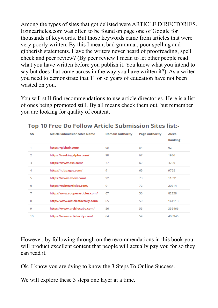Among the types of sites that got delisted were ARTICLE DIRECTORIES. Ezinearticles.com was often to be found on page one of Google for thousands of keywords. But those keywords came from articles that were very poorly written. By this I mean, bad grammar, poor spelling and gibberish statements. Have the writers never heard of proofreading, spell check and peer review? (By peer review I mean to let other people read what you have written before you publish it. You know what you intend to say but does that come across in the way you have written it?). As a writer you need to demonstrate that 11 or so years of education have not been wasted on you.

You will still find recommendations to use article directories. Here is a list of ones being promoted still. By all means check them out, but remember you are looking for quality of content.

| SN | <b>Article Submission Sites Name</b> | <b>Domain Authority</b> | <b>Page Authority</b> | Alexa<br><b>Ranking</b> |
|----|--------------------------------------|-------------------------|-----------------------|-------------------------|
| 1  | https://github.com/                  | 95                      | 84                    | 62                      |
| 2  | https://seekingalpha.com/            | 90                      | 67                    | 1986                    |
| 3  | https://www.axs.com/                 | 77                      | 62                    | 3705                    |
| 4  | http://hubpages.com/                 | 91                      | 69                    | 9768                    |
| 5  | https://www.ehow.com/                | 92                      | 73                    | 11031                   |
| 6  | https://ezinearticles.com/           | 91                      | 72                    | 20314                   |
| 7  | http://www.sooperarticles.com/       | 67                      | 56                    | 82358                   |
| 8  | http://www.articlesfactory.com/      | 65                      | 59                    | 141113                  |
| 9  | https://www.articlecube.com/         | 56                      | 55                    | 355466                  |
| 10 | https://www.articlecity.com/         | 64                      | 59                    | 405946                  |

#### Top 10 Free Do Follow Article Submission Sites list:-

However, by following through on the recommendations in this book you will product excellent content that people will actually pay you for so they can read it.

Ok. I know you are dying to know the 3 Steps To Online Success.

We will explore these 3 steps one layer at a time.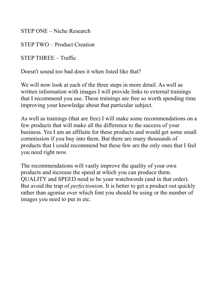STEP ONE – Niche Research

STEP TWO – Product Creation

STEP THREE – Traffic

Doesn't sound too bad does it when listed like that?

We will now look at each of the three steps in more detail. As well as written information with images I will provide links to external trainings that I recommend you use. These trainings are free so worth spending time improving your knowledge about that particular subject.

As well as trainings (that are free) I will make some recommendations on a few products that will make all the difference to the success of your business. Yes I am an affilaite for these products and would get some small commission if you buy into them. But there are many thousands of products that I could recommend but these few are the only ones that I feel you need right now.

The recommendations will vastly improve the quality of your own products and increase the speed at which you can produce them. QUALITY and SPEED need to be your watchwords (and in that order). But avoid the trap of *perfectionism*. It is better to get a product out quickly rather than agonise over which font you should be using or the number of images you need to put in etc.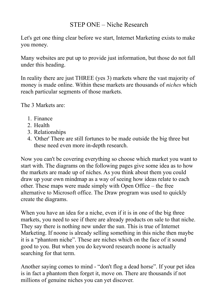#### STEP ONE – Niche Research

Let's get one thing clear before we start, Internet Marketing exists to make you money.

Many websites are put up to provide just information, but those do not fall under this heading.

In reality there are just THREE (yes 3) markets where the vast majority of money is made online. Within these markets are thousands of *niches* which reach particular segments of those markets.

The 3 Markets are:

- 1. Finance
- 2. Health
- 3. Relationships
- 4. 'Other' There are still fortunes to be made outside the big three but these need even more in-depth research.

Now you can't be covering everything so choose which market you want to start with. The diagrams on the following pages give some idea as to how the markets are made up of niches. As you think about them you could draw up your own mindmap as a way of seeing how ideas relate to each other. These maps were made simply with Open Office – the free alternative to Microsoft office. The Draw program was used to quickly create the diagrams.

When you have an idea for a niche, even if it is in one of the big three markets, you need to see if there are already products on sale to that niche. They say there is nothing new under the sun. This is true of Internet Marketing. If noone is already selling something in this niche then maybe it is a "phantom niche". These are niches which on the face of it sound good to you. But when you do keyword research noone is actually searching for that term.

Another saying comes to mind - "don't flog a dead horse". If your pet idea is in fact a phantom then forget it, move on. There are thousands if not millions of genuine niches you can yet discover.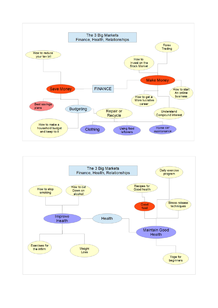

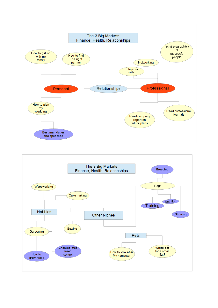

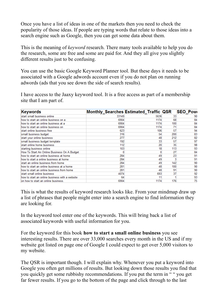Once you have a list of ideas in one of the markets then you need to check the popularity of those ideas. If people are typing words that relate to those ideas into a search engine such as Google, then you can get some data about them.

This is the meaning of *keyword* research. There many tools available to help you do the research, some are free and some are paid for. And they all give you slightly different results just to be confusing.

You can use the basic Google Keyword Planner tool. But these days it needs to be associated with a Google adwords account even if you do not plan on running adwords (ads that you see down the side of search results).

I have access to the Jaaxy keyword tool. It is a free access as part of a membership site that I am part of.

| <b>Keywords</b>                                | Monthly_Searches Estimated_Traffic   QSR |      |     | <b>SEO Powe</b> |
|------------------------------------------------|------------------------------------------|------|-----|-----------------|
| start small business online                    | 33149                                    | 5636 | 33  | 90              |
| how to start an online business on a           | 6904                                     | 1174 | 68  | 84              |
| how to start an online business at a           | 6904                                     | 1174 | 100 | 84              |
| how to start an online business on             | 6904                                     | 1174 | 71  | 84              |
| start online business free                     | 623                                      | 106  | 57  | 94              |
| small business budget                          | 316                                      | 54   | 200 | 83              |
| start your online business                     | 277                                      | 48   | 212 | 82              |
| small business budget template                 | 192                                      | 33   | 57  | 97              |
| start online home business                     | 112                                      | 20   | 35  | 98              |
| starting business online                       | 103                                      | 18   | 113 | 93              |
| How To Start An Online Business On A Budget    |                                          |      | 27  | 84              |
| how to start an online business at home        | 284                                      | 49   | 23  | 91              |
| lhow to start a online business at home        | 284                                      | 49   |     | 91              |
| start an online business from home             | 284                                      | 49   | 142 | 90              |
| how to start an online business at a home      | 281                                      | 48   | 100 | 90              |
| how to start an online business from home      | 281                                      | 48   | 91  | 90              |
| lstart small online business                   | 4074                                     | 693  | 37  | 92              |
| how to start an online business with a website | 64                                       | 11   |     | 93              |
| on how to start an online business.            | 6904                                     | 1174 | 176 | 75              |

This is what the results of keyword research looks like. From your mindmap draw up a list of phrases that people might enter into a search engine to find information they are looking for.

In the keyword tool enter one of the keywords. This will bring back a list of associated keywords with useful information for you.

For the keyword for this book **how to start a small online business** you see interesting results. There are over 33,000 searches every month in the US and if my website got listed on page one of Google I could expect to get over 5,000 visitors to my website.

The QSR is important though. I will explain why. Whenever you put a keyword into Google you often get millions of results. But looking down those results you find that you quickly get some rubbishy recommendations. If you put the term in " " you get far fewer results. If you go to the bottom of the page and click through to the last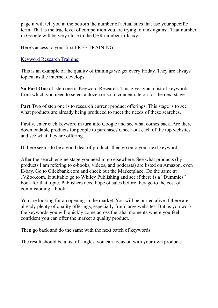page it will tell you at the bottom the number of actual sites that use your specific term. That is the true level of competition you are trying to rank against. That number in Google will be very close to the QSR number in Jaaxy.

Here's access to your first FREE TRAINING:

#### [Keyword Research Training](https://my.wealthyaffiliate.com/training/researching-keywords/a_aid/7f376d8a)

This is an example of the quality of trainings we get every Friday. They are always topical as the internet develops.

**So Part One** of step one is Keyword Research. This gives you a list of keywords from which you need to select a dozen or so to concentrate on for the next stage.

**Part Two** of step one is to research current product offerings. This stage is to see what products are already being produced to meet the needs of these searches.

Firstly, enter each keyword in turn into Google and see what comes back. Are there downloadable products for people to purchase? Check out each of the top websites and see what they are offering.

If there seems to be a good deal of products then go onto your next keyword.

After the search engine stage you need to go elsewhere. See what products (by products I am refering to e-books, videos, and podcasts) are listed on Amazon, even E-bay. Go to Clickbank.com and check out the Marketplace. Do the same at JVZoo.com. If suitable go to Whiley Publishing and see if there is a "Dummies" book for that topic. Publishers need hope of sales before they go to the cost of commisioning a book.

You are looking for an opening in the market. You will be buried alive if there are already plenty of quality offerings, especially from large websites. But as you work the keywords you will quickly come across the 'aha' moments where you feel confident you can offer the market a quality product.

Then go back and do the same with the next batch of keywords.

The result should be a list of 'angles' you can focus on with your own product.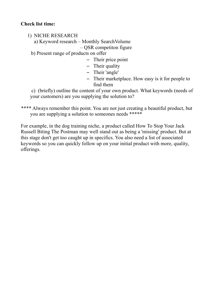#### **Check list time:**

- 1) NICHE RESEARCH
	- a) Keyword research Monthly SearchVolume – QSR competiton figure
	- b) Present range of products on offer
		- Their price point
		- Their quality
		- Their 'angle'
		- Their marketplace. How easy is it for people to find them

 c) (briefly) outline the content of your own product. What keywords (needs of your customers) are you supplying the solution to?

\*\*\*\* Always remember this point. You are not just creating a beautiful product, but you are supplying a solution to someones needs \*\*\*\*\*

For example, in the dog training niche, a product called How To Stop Your Jack Russell Biting The Postman may well stand out as being a 'missing' product. But at this stage don't get too caught up in specifics. You also need a list of associated keywords so you can quickly follow up on your initial product with more, quality, offerings.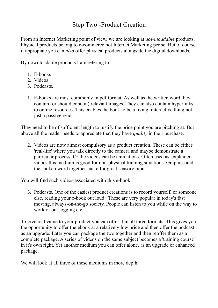#### Step Two -Product Creation

From an Internet Marketing point of view, we are looking at *downloadable* products. Physical products belong to e-commerce not Internet Marketing per se. But of course if appropiate you can *also* offer physical products alongside the digital downloads.

By downloadable products I am refering to:

- 1. E-books
- 2. Videos
- 3. Podcasts.
- 1. E-books are most commonly in pdf format. As well as the written word they contain (or should contain) relevant images. They can also contain hyperlinks to online resources. This enables the book to be a living, interactive thing not just a passive read.

They need to be of sufficient length to justify the price point you are pitching at. But above all the reader needs to appreciate that they have *quality* in their purchase.

2. Videos are now almost compulsory as a product creation. These can be either 'real-life' where you talk directly to the camera and maybe demonstrate a particular process. Or the videos can be animations. Often used as 'explainer' vidoes this medium is good for non-physical training situations. Graphics and the spoken word together make for great sensory input.

You will find such videos associated with this e-book.

3. Podcasts. One of the easiest product creations is to record yourself, or someone else, reading your e-book out loud. These are very popular in today's fast moving, always-on-the-go society. People can listen to you while on the way to work or out jogging etc.

To give real value to your product you can offer it in all three formats. This gives you the opportunity to offer the ebook at a relatively low price and then offer the podcast as an upgrade. Later you can package the two together and then reoffer them as a complete package. A series of videos on the same subject becomes a 'training course' in it's own right. Yet another medium you can offer alone, as an upgrade or enhanced package.

We will look at all three of these mediums in more depth.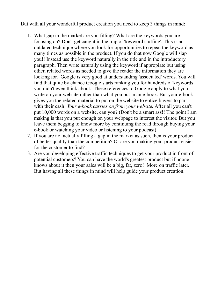But with all your wonderful product creation you need to keep 3 things in mind:

- 1. What gap in the market are you filling? What are the keywords you are focusing on? Don't get caught in the trap of 'keyword stuffing'. This is an outdated technique where you look for opportunities to repeat the keyword as many times as possible in the product. If you do that now Google will slap you!! Instead use the keyword naturally in the title and in the introductory paragraph. Then write naturally using the keyword if appropiate but using other, related words as needed to give the reader the information they are looking for. Google is very good at understanding 'associated' words. You will find that quite by chance Google starts ranking you for hundreds of keywords you didn't even think about. These references to Google apply to what you write on your website rather than what you put in an e-book. But your e-book gives you the related material to put on the website to entice buyers to part with their cash! *Your e-book carries on from your website.* After all you can't put 10,000 words on a website, can you? (Don't be a smart ass!! The point I am making is that you put enough on your webpage to interest the visitor. But you leave them begging to know more by continuing the read through buying your e-book or watching your video or listening to your podcast).
- 2. If you are not actually filling a gap in the market as such, then is your product of better quality than the competition? Or are you making your product easier for the customer to find?
- 3. Are you developing effective traffic techniques to get your product in front of potential customers? You can have the world's greatest product but if noone knows about it then your sales will be a big, fat, zero! More on traffic later. But having all these things in mind will help guide your product creation.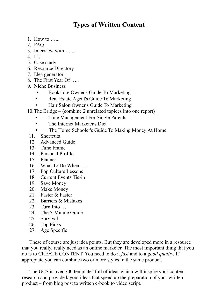#### **Types of Written Content**

- 1. How to …...
- 2. FAQ
- 3. Interview with …....
- 4. List
- 5. Case study
- 6. Resource Directory
- 7. Idea generator
- 8. The First Year Of …..
- 9. Niche Business
	- Bookstore Owner's Guide To Marketing
	- Real Estate Agent's Guide To Marketing
	- Hair Salon Owner's Guide To Marketing
- 10.The Bridge (combine 2 unrelated topices into one report)
	- Time Management For Single Parents
	- The Internet Marketer's Diet
	- The Home Schooler's Guide To Making Money At Home.
- 11. Shortcuts
- 12. Advanced Guide
- 13. Time Frame
- 14. Personal Profile
- 15. Planner
- 16. What To Do When …..
- 17. Pop Culture Lessons
- 18. Current Events Tie-in
- 19. Save Money
- 20. Make Money
- 21. Faster & Faster
- 22. Barriers & Mistakes
- 23. Turn Into …
- 24. The 5-Minute Guide
- 25. Survival
- 26. Top Picks
- 27. Age Specific

These of course are just idea points. But they are developed more in a resource that you really, really need as an online marketer. The most important thing that you do is to CREATE CONTENT. You need to do it *fast* and to a *good quality*. If appropiate you can combine two or more styles in the same product.

The UCS is over 700 templates full of ideas which will inspire your content research and provide layout ideas that speed up the preparation of your written product – from blog post to written e-book to video script.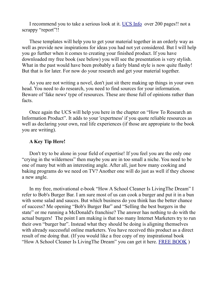I recommend you to take a serious look at it. [UCS Info](http://nanacast.com/vp/10002130/633344/) over 200 pages!! not a scrappy "report"!!

These templates will help you to get your material together in an orderly way as well as provide new inspirations for ideas you had not yet considered. But I will help you go further when it comes to creating your finished product. If you have downloaded my free book (see below) you will see the presentation is very stylish. What in the past would have been probably a fairly bland style is now quite flashy! But that is for later. For now do your research and get your material together.

As you are not writing a novel, don't just sit there making up things in your own head. You need to do research, you need to find sources for your information. Beware of 'fake news' type of resources. These are those full of opinions rather than facts.

Once again the UCS will help you here in the chapter on "How To Research an Information Product". It adds to your 'expertness' if you quote reliable resources as well as declaring your own, real life experiences (if those are appropiate to the book you are writing).

#### **A Key Tip Here!**

Don't try to be alone in your field of expertise! If you feel you are the only one "crying in the wilderness" then maybe you are in too small a niche. You need to be one of many but with an interesting angle. After all, just how many cooking and baking programs do we need on TV? Another one will do just as well if they choose a new angle.

In my free, motivational e-book "How A School Cleaner Is LivingThe Dream" I refer to Bob's Burger Bar. I am sure most of us can cook a burger and put it in a bun with some salad and sauces. But which business do you think has the better chance of success? Me opening "Bob's Burger Bar" and "Selling the best burgers in the state" or me running a McDonald's franchise? The answer has nothing to do with the actual burgers! The point I am making is that too many Internet Marketers try to run their own "burger bar". Instead what they should be doing is aligning themselves with already successful online marketers. You have received this product as a direct result of me doing that. (If you would like a free copy of my inspirational book "How A School Cleaner Is LivingThe Dream" you can get it here. [FREE BOOK](https://addingtowealth.com/how-a-school-cleaner-can-live-the-dream/) )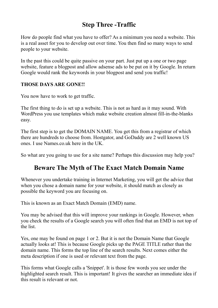#### **Step Three -Traffic**

How do people find what you have to offer? As a minimum you need a website. This is a real asset for you to develop out over time. You then find so many ways to send people to your website.

In the past this could be quite passive on your part. Just put up a one or two page website, feature a blogpost and allow adsense ads to be put on it by Google. In return Google would rank the keywords in your blogpost and send you traffic!

#### **THOSE DAYS ARE GONE!!**

You now have to work to get traffic.

The first thing to do is set up a website. This is not as hard as it may sound. With WordPress you use templates which make website creation almost fill-in-the-blanks easy.

The first step is to get the DOMAIN NAME. You get this from a registrar of which there are hundreds to choose from. Hostgator, and GoDaddy are 2 well known US ones. I use Names.co.uk here in the UK.

So what are you going to use for a site name? Perhaps this discussion may help you?

#### **Beware The Myth of The Exact Match Domain Name**

Whenever you undertake training in Internet Marketing, you will get the advice that when you chose a domain name for your website, it should match as closely as possible the keyword you are focusing on.

This is known as an Exact Match Domain (EMD) name.

You may be advised that this will improve your rankings in Google. However, when you check the results of a Google search you will often find that an EMD is not top of the list.

Yes, one may be found on page 1 or 2. But it is not the Domain Name that Google actually looks at! This is because Google picks up the PAGE TITLE rather than the domain name. This forms the top line of the search results. Next comes either the meta description if one is used or relevant text from the page.

This forms what Google calls a 'Snippet'. It is those few words you see under the highlighted search result. This is important! It gives the searcher an immediate idea if this result is relevant or not.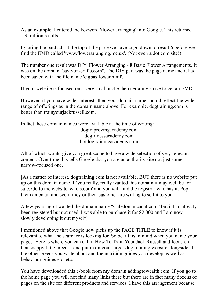As an example, I entered the keyword 'flower arranging' into Google. This returned 1.9 million results.

Ignoring the paid ads at the top of the page we have to go down to result 6 before we find the EMD called 'www.flowerarranging.me.uk'. (Not even a dot com site!).

The number one result was DIY: Flower Arranging - 8 Basic Flower Arrangements. It was on the domain "save-on-crafts.com". The DIY part was the page name and it had been saved with the file name 'eigbasflowar.html'.

If your website is focused on a very small niche then certainly strive to get an EMD.

However, if you have wider interests then your domain name should reflect the wider range of offerings as in the domain name above. For example, dogtraining.com is better than trainyourjackrussell.com.

In fact these domain names were available at the time of writing: dogimprovingacademy.com dogfitnessacademy.com hotdogtrainingacademy.com

All of which would give you great scope to have a wide selection of very relevant content. Over time this tells Google that you are an authority site not just some narrow-focused one.

[As a matter of interest, dogtraining.com is not available. BUT there is no website put up on this domain name. If you really, really wanted this domain it may well be for sale. Go to the website 'whois.com' and you will find the registrar who has it. Pop them an email and see if they or their customer are willing to sell it to you.

A few years ago I wanted the domain name "Caledoniancanal.com" but it had already been registered but not used. I was able to purchase it for \$2,000 and I am now slowly developing it out myself].

I mentioned above that Google now picks up the PAGE TITLE to know if it is relevant to what the searcher is looking for. So bear this in mind when you name your pages. Here is where you can call it How To Train Your Jack Russell and focus on that snappy little breed :( and put in on your larger dog training website alongside all the other breeds you write about and the nutrition guides you develop as well as behaviour guides etc. etc.

You have downloaded this e-book from my domain addingtowealth.com. If you go to the home page you will not find many links there but there are in fact many dozens of pages on the site for different products and services. I have this arrangement because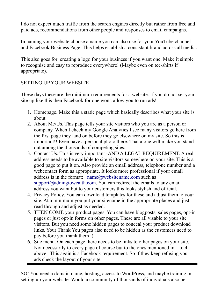I do not expect much traffic from the search engines directly but rather from free and paid ads, recommendations from other people and responses to email campaigns.

In naming your website choose a name you can also use for your YouTube channel and Facebook Business Page. This helps establish a consistant brand across all media.

This also goes for creating a logo for your business if you want one. Make it simple to recognise and easy to reproduce everywhere! (Maybe even on tee-shirts if appropriate).

#### SETTING UP YOUR WEBSITE

These days these are the minimum requirements for a website. If you do not set your site up like this then Facebook for one won't allow you to run ads!

- 1. Homepage. Make this a static page which basically describes what your site is about.
- 2. About Me/Us. This page tells your site visitors who you are as a person or company. When I check my Google Analytics I see many visitors go here from the first page they land on before they go elsewhere on my site. So this is important!! Even have a personal photo there. That alone will make you stand out among the thousands of competing sites.
- 3. Contact Us. This is very important -AND A LEGAL REQUIREMENT. A real address needs to be available to site visitors somewhere on your site. This is a good page to put it on. Also provide an email address, telephone number and a webcontact form as appropriate. It looks more professional if your email address is in the format:  $name@$ *websitename.com such as*  $support$ addingtowealth.com. You can redirect the emails to any email address you want but to your customers this looks stylish and official.
- 4. Privacy Policy. You can download templates for these and adjust them to your site. At a minimum you put your sitename in the appropriate places and just read through and adjust as needed.
- 5. THEN COME your product pages. You can have blogposts, sales pages, opt-in pages or just opt-in forms on other pages. These are all visable to your site visitors. But you need some hidden pages to conceal your product download links. Your Thank You pages also need to be hidden as the customers need to pay before you thank them :)
- 6. Site menu. On each page there needs to be links to other pages on your site. Not necessarily to every page of course but to the ones mentioned in 1 to 4 above. This again is a Facebook requirement. So if they keep refusing your ads check the layout of your site.

SO! You need a domain name, hosting, access to WordPress, and maybe training in setting up your website. Would a community of thousands of individuals also be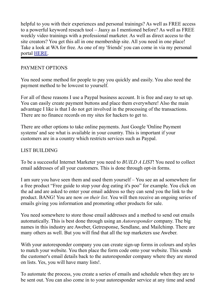helpful to you with their experiences and personal trainings? As well as FREE access to a powerful keyword reseach tool – Jaaxy as I mentioned before? As well as FREE weekly video trainings with a professional marketer. As well as direct access to the site creators? You get this all in one membership site. All you need in one place! Take a look at WA for free. As one of my 'friends' you can come in via my personal portal [HERE.](http://www.wealthyaffiliate.com/a_aid/7f376d8a/campaign/robertsfriends)

#### PAYMENT OPTIONS

You need some method for people to pay you quickly and easily. You also need the payment method to be lowcost to yourself.

For all of these reasons I use a Paypal business account. It is free and easy to set up. You can easily create payment buttons and place them everywhere! Also the main advantage I like is that I do not get involved in the processing of the transactions. There are no finance records on my sites for hackers to get to.

There are other options to take online payments. Just Google 'Online Payment systems' and see what is available in your country. This is important if your customers are in a country which restricts services such as Paypal.

#### LIST BUILDING

To be a successful Internet Marketer you need to *BUILD A LIST*! You need to collect email addresses of all your customers. This is done through opt-in forms.

I am sure you have seen them and used them yourself – You see an ad somewhere for a free product "Free guide to stop your dog eating it's poo" for example. You click on the ad and are asked to enter your email address so they can send you the link to the product. BANG! You are now *on their list*. You will then receive an ongoing series of emails giving you information and promoting other products for sale.

You need somewhere to store those email addresses and a method to send out emails automatically. This is best done through using an *Autoresponder* company. The big names in this industry are Aweber, Getresponse, Sendlane, and Mailchimp. There are many others as well. But you will find that all the top marketers use Aweber.

With your autoresponder company you can create sign-up forms in colours and styles to match your website. You then place the form code onto your website. This sends the customer's email details back to the autoresponder company where they are stored on lists. Yes, you will have many lists!.

To automate the process, you create a series of emails and schedule when they are to be sent out. You can also come in to your autoresponder service at any time and send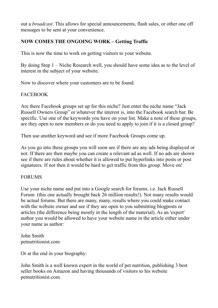out a *broadcast*. This allows for special announcements, flash sales, or other one off messages to be sent at your convenience.

#### **NOW COMES THE ONGOING WORK – Getting Traffic**

This is now the time to work on getting visitors to your website.

By doing Step 1 – Niche Research well, you should have some idea as to the level of interest in the subject of your website.

Now to discover where your customers are to be found.

#### FACEBOOK

Are there Facebook groups set up for this niche? Just enter the niche name "Jack Russell Owners Group" or whatever the interest is, into the Facebook search bar. Be specific. Use one of the keywords you have on your list. Make a note of these groups, are they open to new members or do you need to apply to join if it is a closed group?

Then use another keyword and see if more Facebook Groups come up.

As you go into these groups you will soon see if there are any ads being displayed or not. If there are then maybe you can create a relevant ad as well. If no ads are shown see if there are rules about whether it is allowed to put hyperlinks into posts or post signatures. If not then it would be hard to get traffic from this group. Move on!

#### **FORUMS**

Use your niche name and put into a Google search for forums. i.e. Jack Russell Forum (this one actually brought back 26 million results!). Not many results would be actual forums. But there are many, many, results where you could make contact with the website owner and see if they are open to you submitting blogposts or articles (the difference being mostly in the length of the material). As an 'expert' author you would be allowed to have your website name in the article either under your name as author:

John Smith petnutritionist.com

Or at the end in your biography:

John Smith is a well known expert in the world of pet nutrition, publishing 3 best seller books on Amazon and having thousands of visitors to his website petnutritionist.com.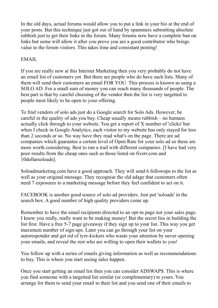In the old days, actual forums would allow you to put a link in your bio at the end of your posts. But this technique just got out of hand by spammers submitting absolute rubbish just to get their links in the forum. Many forums now have a complete ban on links but some will allow it after you prove you are a good contributor who brings value to the forum visitors. This takes time and consistant posting!

#### EMAIL

If you are really new at this Internet Marketing then you very probably do not have an email list of customers yet. But there are people who do have such lists. Many of them will send their customers an email FOR YOU. This process is known as using a SOLO AD. For a small sum of money you can reach many thousands of people. The best part is that by careful choosing of the vendor then the list is very targetted to people most likely to be open to your offering.

To find vendors of solo ads just do a Google search for Solo Ads. However, be careful in the quality of ads you buy. Cheap usually means rubbish – no humans actually click through to your website. You get a report of X number of 'clicks' but when I check in Google Analytics, each visitor to my website has only stayed for less than 2 seconds or so. No way have they read what's on the page. There are ad companies which guarantee a certain level of Open Rate for your solo ad so these are more worth considering. Best to run a trail with different companies. [I have had very poor results from the cheap ones such as those listed on fiverr.com and 10dollarsoloads].

Soloadmarketing.com have a good approach. They will send 6 followups to the list as well as your original message. They recognise the old adage that customers often need 7 exposures to a marketing message before they feel confident to act on it.

FACEBOOK is another good source of solo ad providers. Just put 'soloads' in the search box. A good number of high quality providers come up.

Remember to have the email recipients directed to an opt-in page not your sales page. I know you really, really want to be making money! But the secret lies in building the list first. Have a free 5-7 page giveaway if they sign up to your list. This way you get maximum number of sign-ups. Later you can go through your list on your autoresponder and get rid of tyre-kickers who waste your attention by never opening your emails, and reveal the rest who are willing to open their wallets to you!

You follow up with a series of emails giving information as well as recommendations to buy. This is where you start seeing sales happen.

Once you start getting an email list then you can consider ADSWAPS. This is where you find someone with a targetted list similar (or complimentary) to yours. You arrange for them to send your email to their list and you send one of their emails to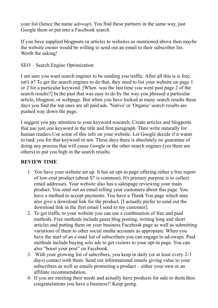your list (hence the name *adswap*). You find these partners in the same way, just Google them or put into a Facebook search.

If you have supplied blogposts or articles to websites as mentioned above then maybe the website owner would be willing to send out an email to their subscriber list. Worth the asking!

SEO – Search Engine Optimization

I am sure you want search engines to be sending you traffic. After all this is is free, isn't it? To get the search engines to do that, they need to list your website on page 1 or 2 for a particular keyword. [When was the last time you went past page 2 of the search results?] In the past that was easy to do by the way you phrased a particular article, blogpost, or webpage. But when you have looked at many search results these days you find the top ones are all paid ads. 'Native' or 'Organic' search results are pushed way down the page.

I suggest you pay attention to your keyword research. Create articles and blogposts that use just one keyword in the title and first paragraph. Then write naturally for human readers.Use some of this info on your website. Let Google decide if it wants to rank you for that keyword or not. These days there is absolutely no guarantee of doing any process that will cause Google or the other search engines (yes there are others) to put you high in the search results.

#### **REVIEW TIME**

- 1. You have your website set up. It has an opt-in page offering either a free report of low-cost product (about \$7 is common). It's primary purpose is to collect email addresses. Your website also has a salespage reviewing your main product. You send out an email telling your customers about this page. You have a method to accept payments. You have a Thank You page which may also give a download link for the product. [I actually prefer to send out the download link in the first email I send to my customer].
- 2. To get traffic to your website you can use a combination of free and paid methods. Free methods include guest blog posting, writing long and short articles and putting them on your business Facebook page as well as submitting variations of them to other social media accounts as appropiate. When you have the start of an e-mail list of subscribers you can engage in ad-swaps. Paid methods include buying solo ads to get visitors to your opt-in page. You can also "boost your post" on Facebook.
- 3. With your growing list of subcribers, you keep in daily (or at least every 2-3 days) contact with them. Send out informational emails giving value to your subscribers as well as emails promoting a product – either your own or an affiliate recommendation.
- 4. If you are meeting their needs and actually have products for sale to them then congratulations you have a business!! Keep going.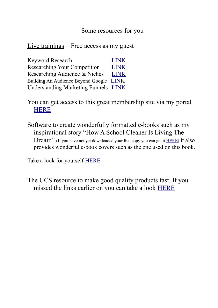#### Some resources for you

Live trainings – Free access as my guest

| <b>Keyword Research</b>                     | <b>LINK</b> |
|---------------------------------------------|-------------|
| <b>Researching Your Competition</b>         | <b>LINK</b> |
| Researching Audience & Niches               | <b>LINK</b> |
| Building An Audience Beyond Google LINK     |             |
| <b>Understanding Marketing Funnels LINK</b> |             |

You can get access to this great membership site via my portal **[HERE](https://www.wealthyaffiliate.com/a_aid/7f376d8a/campaign/robertsfriends)** 

Software to create wonderfully formatted e-books such as my inspirational story "How A School Cleaner Is Living The Dream" (If you have not yet downloaded your free copy you can get it [HERE\)](https://addingtowealth.com/how-a-school-cleaner-can-live-the-dream/) it also provides wonderful e-book covers such as the one used on this book.

Take a look for yourself **HERE** 

The UCS resource to make good quality products fast. If you missed the links earlier on you can take a look [HERE](http://nanacast.com/vp/10002130/633344/)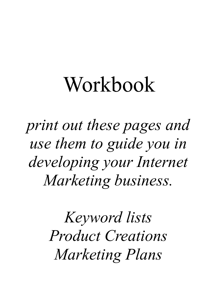# Workbook

*print out these pages and use them to guide you in developing your Internet Marketing business.*

> *Keyword lists Product Creations Marketing Plans*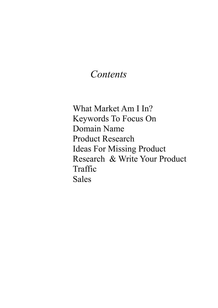### *Contents*

What Market Am I In? Keywords To Focus On Domain Name Product Research Ideas For Missing Product Research & Write Your Product Traffic Sales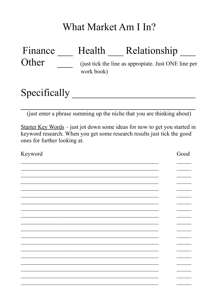## What Market Am I In?

| Finance | Health     | Relationship                                         |
|---------|------------|------------------------------------------------------|
| Other   | work book) | (just tick the line as appropiate. Just ONE line per |
|         |            |                                                      |

## Specifically

(just enter a phrase summing up the niche that you are thinking about)

Starter Key Words – just jot down some ideas for now to get you started in keyword research. When you get some research results just tick the good ones for further looking at.

| Keyword | Good |
|---------|------|
|         |      |
|         |      |
|         |      |
|         |      |
|         |      |
|         |      |
|         |      |
|         |      |
|         |      |
|         |      |
|         |      |
|         |      |
|         |      |
|         |      |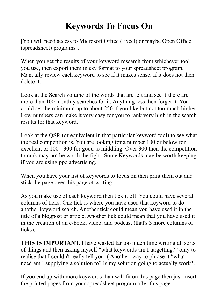## **Keywords To Focus On**

[You will need access to Microsoft Office (Excel) or maybe Open Office (spreadsheet) programs].

When you get the results of your keyword research from whichever tool you use, then export them in csv format to your spreadsheet program. Manually review each keyword to see if it makes sense. If it does not then delete it.

Look at the Search volume of the words that are left and see if there are more than 100 monthly searches for it. Anything less then forget it. You could set the minimum up to about 250 if you like but not too much higher. Low numbers can make it very easy for you to rank very high in the search results for that keyword.

Look at the QSR (or equivalent in that particular keyword tool) to see what the real competition is. You are looking for a number 100 or below for excellent or 100 - 300 for good to middling. Over 300 then the competition to rank may not be worth the fight. Some Keywords may be worth keeping if you are using ppc advertising.

When you have your list of keywords to focus on then print them out and stick the page over this page of writing.

As you make use of each keyword then tick it off. You could have several columns of ticks. One tick is where you have used that keyword to do another keyword search. Another tick could mean you have used it in the title of a blogpost or article. Another tick could mean that you have used it in the creation of an e-book, video, and podcast (that's 3 more columns of ticks).

**THIS IS IMPORTANT.** I have wasted far too much time writing all sorts of things and then asking myself "what keywords am I targetting?" only to realise that I couldn't really tell you :( Another way to phrase it "what need am I supplying a solution to? Is my solution going to actually work?.

If you end up with more keywords than will fit on this page then just insert the printed pages from your spreadsheet program after this page.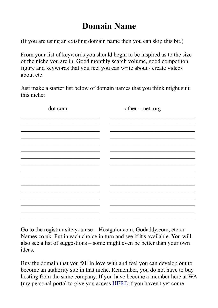## **Domain Name**

(If you are using an existing domain name then you can skip this bit.)

From your list of keywords you should begin to be inspired as to the size of the niche you are in. Good monthly search volume, good competiton figure and keywords that you feel you can write about / create videos about etc.

Just make a starter list below of domain names that you think might suit this niche:

| dot com | other - .net .org |
|---------|-------------------|
|         |                   |
|         |                   |
|         |                   |
|         |                   |
|         |                   |
|         |                   |
|         |                   |
|         |                   |
|         |                   |
|         |                   |
|         |                   |
|         |                   |

Go to the registrar site you use – Hostgator.com, Godaddy.com, etc or Names.co.uk. Put in each choice in turn and see if it's available. You will also see a list of suggestions – some might even be better than your own ideas.

Buy the domain that you fall in love with and feel you can develop out to become an authority site in that niche. Remember, you do not have to buy hosting from the same company. If you have become a member here at WA (my personal portal to give you access [HERE](http://www.wealthyaffiliate.com/a_aid/7f376d8a/campaign/robertsfriends) if you haven't yet come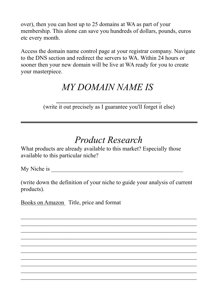over), then you can host up to 25 domains at WA as part of your membership. This alone can save you hundreds of dollars, pounds, euros etc every month.

Access the domain name control page at your registrar company. Navigate to the DNS section and redirect the servers to WA. Within 24 hours or sooner then your new domain will be live at WA ready for you to create your masterpiece.

## *MY DOMAIN NAME IS*

*\_\_\_\_\_\_\_\_\_\_\_\_\_\_\_\_\_\_\_\_\_\_* (write it out precisely as I guarantee you'll forget it else)

## *Product Research*

What products are already available to this market? Especially those available to this particular niche?

My Niche is  $\blacksquare$ 

(write down the definition of your niche to guide your analysis of current products).

 $\mathcal{L}_\text{max}$  , and the contract of the contract of the contract of the contract of the contract of the contract of the contract of the contract of the contract of the contract of the contract of the contract of the contr  $\mathcal{L}_\text{max}$  , and the contract of the contract of the contract of the contract of the contract of the contract of the contract of the contract of the contract of the contract of the contract of the contract of the contr  $\mathcal{L}_\text{max}$  , and the contract of the contract of the contract of the contract of the contract of the contract of the contract of the contract of the contract of the contract of the contract of the contract of the contr  $\mathcal{L}_\text{max}$  and the contract of the contract of the contract of the contract of the contract of the contract of  $\mathcal{L}_\text{max}$  and the contract of the contract of the contract of the contract of the contract of the contract of  $\mathcal{L}_\text{max}$  , and the contract of the contract of the contract of the contract of the contract of the contract of the contract of the contract of the contract of the contract of the contract of the contract of the contr  $\mathcal{L}_\text{max}$  , and the contract of the contract of the contract of the contract of the contract of the contract of the contract of the contract of the contract of the contract of the contract of the contract of the contr  $\mathcal{L}_\text{max}$  , and the contract of the contract of the contract of the contract of the contract of the contract of the contract of the contract of the contract of the contract of the contract of the contract of the contr  $\mathcal{L}_\text{max}$  , and the contract of the contract of the contract of the contract of the contract of the contract of the contract of the contract of the contract of the contract of the contract of the contract of the contr  $\mathcal{L}_\text{max}$  , and the contract of the contract of the contract of the contract of the contract of the contract of the contract of the contract of the contract of the contract of the contract of the contract of the contr

Books on Amazon Title, price and format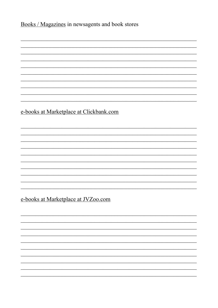Books / Magazines in newsagents and book stores

e-books at Marketplace at Clickbank.com

e-books at Marketplace at JVZ00.com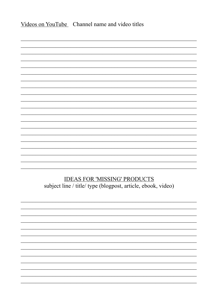| Videos on YouTube Channel name and video titles                                                     |
|-----------------------------------------------------------------------------------------------------|
|                                                                                                     |
|                                                                                                     |
|                                                                                                     |
|                                                                                                     |
|                                                                                                     |
|                                                                                                     |
|                                                                                                     |
|                                                                                                     |
|                                                                                                     |
|                                                                                                     |
|                                                                                                     |
| <b>IDEAS FOR 'MISSING' PRODUCTS</b><br>subject line / title/ type (blogpost, article, ebook, video) |
|                                                                                                     |
|                                                                                                     |
|                                                                                                     |
|                                                                                                     |
|                                                                                                     |
|                                                                                                     |
|                                                                                                     |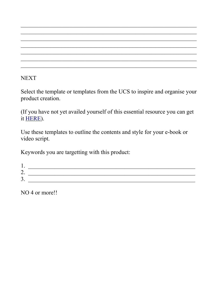**NEXT** 

Select the template or templates from the UCS to inspire and organise your product creation.

(If you have not yet availed yourself of this essential resource you can get it [HERE\)](http://nanacast.com/vp/10002130/633344/).

Use these templates to outline the contents and style for your e-book or video script.

Keywords you are targetting with this product:

| <u>д</u>     |  |
|--------------|--|
| ⌒<br>∠.      |  |
| $\sim$<br>ັ. |  |

NO 4 or more!!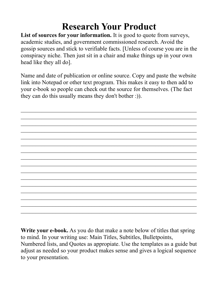## **Research Your Product**

List of sources for your information. It is good to quote from surveys, academic studies, and government commissioned research. Avoid the gossip sources and stick to verifiable facts. [Unless of course you are in the conspiracy niche. Then just sit in a chair and make things up in your own head like they all do].

Name and date of publication or online source. Copy and paste the website link into Notepad or other text program. This makes it easy to then add to your e-book so people can check out the source for themselves. (The fact they can do this usually means they don't bother :)).

 $\mathcal{L}_\text{max}$  , and the contract of the contract of the contract of the contract of the contract of the contract of the contract of the contract of the contract of the contract of the contract of the contract of the contr  $\mathcal{L}_\text{max}$  , and the contract of the contract of the contract of the contract of the contract of the contract of the contract of the contract of the contract of the contract of the contract of the contract of the contr  $\mathcal{L}_\text{max}$  , and the contract of the contract of the contract of the contract of the contract of the contract of the contract of the contract of the contract of the contract of the contract of the contract of the contr  $\mathcal{L}_\text{max}$  , and the contract of the contract of the contract of the contract of the contract of the contract of the contract of the contract of the contract of the contract of the contract of the contract of the contr  $\mathcal{L}_\text{max}$  , and the contract of the contract of the contract of the contract of the contract of the contract of the contract of the contract of the contract of the contract of the contract of the contract of the contr  $\mathcal{L}_\text{max}$  , and the contract of the contract of the contract of the contract of the contract of the contract of the contract of the contract of the contract of the contract of the contract of the contract of the contr  $\mathcal{L}_\text{max}$  , and the contract of the contract of the contract of the contract of the contract of the contract of the contract of the contract of the contract of the contract of the contract of the contract of the contr  $\mathcal{L}_\text{max}$  , and the contract of the contract of the contract of the contract of the contract of the contract of the contract of the contract of the contract of the contract of the contract of the contract of the contr  $\mathcal{L}_\text{max}$  and the contract of the contract of the contract of the contract of the contract of the contract of  $\mathcal{L}_\text{max}$  and the contract of the contract of the contract of the contract of the contract of the contract of  $\mathcal{L}_\text{max}$  , and the contract of the contract of the contract of the contract of the contract of the contract of the contract of the contract of the contract of the contract of the contract of the contract of the contr  $\mathcal{L}_\text{max}$  , and the contract of the contract of the contract of the contract of the contract of the contract of the contract of the contract of the contract of the contract of the contract of the contract of the contr  $\mathcal{L}_\text{max}$  , and the contract of the contract of the contract of the contract of the contract of the contract of the contract of the contract of the contract of the contract of the contract of the contract of the contr  $\mathcal{L}_\text{max}$  , and the contract of the contract of the contract of the contract of the contract of the contract of the contract of the contract of the contract of the contract of the contract of the contract of the contr  $\mathcal{L}_\text{max}$  , and the contract of the contract of the contract of the contract of the contract of the contract of the contract of the contract of the contract of the contract of the contract of the contract of the contr  $\mathcal{L}_\text{max}$  , and the contract of the contract of the contract of the contract of the contract of the contract of the contract of the contract of the contract of the contract of the contract of the contract of the contr

**Write your e-book.** As you do that make a note below of titles that spring to mind. In your writing use: Main Titles, Subtitles, Bulletpoints, Numbered lists, and Quotes as appropiate. Use the templates as a guide but adjust as needed so your product makes sense and gives a logical sequence to your presentation.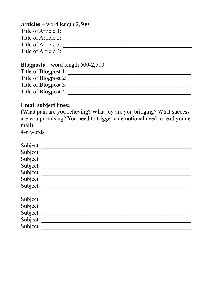| <b>Articles</b> – word length $2,500 +$ |  |
|-----------------------------------------|--|
| Title of Article 1:                     |  |
| Title of Article 2:                     |  |
| Title of Article 3:                     |  |
| Title of Article 4:                     |  |
|                                         |  |

#### **Blogposts** – word length  $600-2,500$

| Title of Blogpost 1: |  |
|----------------------|--|
| Title of Blogpost 2: |  |
| Title of Blogpost 3: |  |
| Title of Blogpost 4: |  |

#### **Email subject lines:**

(What pain are you relieving? What joy are you bringing? What success are you promising? You need to trigger an emotional need to read your email).

4-6 words

| Subject:                   |  |
|----------------------------|--|
| Subject:                   |  |
| Subject:                   |  |
| Subject:                   |  |
| Subject:                   |  |
|                            |  |
| Subject: __<br>Subject: __ |  |
| Subject:                   |  |
| Subject:                   |  |
| Subject:                   |  |
| Subject:                   |  |
| Subject:                   |  |
|                            |  |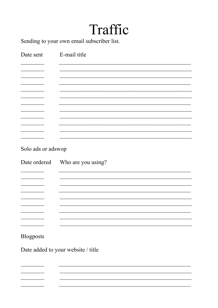## Traffic

Sending to your own email subscriber list.

| Date sent          | E-mail title                    |
|--------------------|---------------------------------|
|                    |                                 |
|                    |                                 |
|                    |                                 |
|                    |                                 |
|                    |                                 |
|                    |                                 |
|                    |                                 |
|                    |                                 |
|                    |                                 |
|                    |                                 |
| Solo ads or adswop |                                 |
|                    | Date ordered Who are you using? |
|                    |                                 |
|                    |                                 |
|                    |                                 |
|                    |                                 |
|                    |                                 |
|                    |                                 |
|                    |                                 |
|                    |                                 |
| Blogposts          |                                 |

Date added to your website / title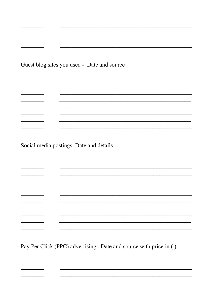<u> La Carlo de Carlo de Carlo de Carlo de Carlo de Carlo de Carlo de Carlo de Carlo de Carlo de Carlo de Carlo d</u>  $\overline{a}$  . The set of  $\overline{a}$ 

 $\overline{\phantom{a}}$ 

**Contract Contract** 

 $\overline{\phantom{a}}$ 

 $\overline{\phantom{0}}$ 

▃

<u> 1999 - Johann Barnett, fransk politiker</u>

<u> Louis Communication</u>

 $\overline{\phantom{0}}$ 

Social media postings. Date and details

Pay Per Click (PPC) advertising. Date and source with price in ()